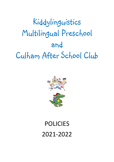# Kiddylinguistics Multilingual Preschool and Culham After School Club



## POLICIES 2021-2022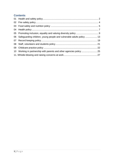### **Contents**

| 06 Safeguarding children, young people and vulnerable adults policy  13 |  |
|-------------------------------------------------------------------------|--|
|                                                                         |  |
|                                                                         |  |
|                                                                         |  |
| 10 Working in partnership with parents and other agencies policy  25    |  |
|                                                                         |  |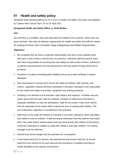## <span id="page-2-0"></span>**01 Health and safety policy**

Alongside associated procedures in 01.1 to 01.21 Health and safety, this policy was adopted by Culham After School Club LTD on 01 Sept 2021

#### **Designated Health and Safety Officer is: Ruth Mullen**

#### **Aim**

Our provision is a suitable, clean and safe place for children to be cared for, where they can grow and learn. We meet all statutory requirements for health and safety and fulfil the criteria for meeting the Early Years Foundation Stage Safeguarding and Welfare Requirements.

#### **Objectives**

- We recognise that we have a corporate responsibility and duty of care towards those who work in and receive a service from our provision. Individual staff and service users also have responsibility for ensuring their own safety as well as that of others. Adherence to policies and procedures and risk assessment is the key means through which this is achieved.
- Insurance is in place (including public liability) and an up-to-date certificate is always displayed.
- Risk assessment is carried out to ensure the safety of children, staff, parents, and visitors. Legislation requires all those individuals in the given workplace to be responsible for the health and safety of premises, equipment and working practices.
- Smoking is not allowed on the premises, both indoors and outdoors. If children use any public space that has been used for smoking, members of staff ensure that there is adequate ventilation to clear the atmosphere. Staff do not smoke in their work clothes and are requested not to smoke within at least one hour of working with children. The use of electronic cigarettes is not allowed on the premises.
- Staff must not be under the influence of alcohol or any other substance which may affect their ability to care for children. If staff are taking medication that they believe may impair them, they seek further medical advice and only work directly with children if that advice is that the medication is unlikely to impair their ability to look after children. The setting manager must be informed.
- Alcohol must not be bought onto the premises for consumption.
- A risk assessment (01.1a Generic risk assessment) and access audit (01.1b Access audit form) are carried out for each area and the procedure is modified according to needs identified for the specific environment.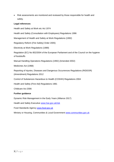• Risk assessments are monitored and reviewed by those responsible for health and safety.

#### **Legal references**

Health and Safety at Work etc Act 1974 Health and Safety (Consultation with Employees) Regulations 1996 Management of Health and Safety at Work Regulations (1992) Regulatory Reform (Fire Safety) Order 2005) Electricity at Work Regulations (1989) Regulation (EC) No 852/2004 of the European Parliament and of the Council on the hygiene of foodstuffs Manual Handling Operations Regulations (1992) (Amended 2002) Medicines Act (1968) Reporting of Injuries, Diseases and Dangerous Occurrences Regulations (RIDDOR) (Amendment) Regulations 2012 Control of Substances Hazardous to Health (COSHH) Regulations 2004 Health and Safety (First Aid) Regulations 1981 Childcare Act 2006 **Further guidance** Dynamic Risk Management in the Early Years (Alliance 2017) Health and Safety Executive www.hse.gov.uk/risk

Food Standards Agency [www.food.gov.uk](http://www.fod.gov.uk/)

Ministry or Housing, Communities & Local Government [www.communities.gov.uk](https://preschoolla.sharepoint.com/sites/COMM/Shared%20Documents/Pubs/Pubs%20Print%20Promo/Pub%20Drafts/A026%20Policies%20&%20Procedures%20for%20the%20EYFS%202021/A026%20FINAL/www.communities.gov.uk)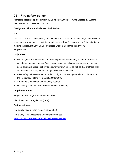## <span id="page-4-0"></span>**02 Fire safety policy**

Alongside associated procedures in 02.1 Fire safety, this policy was adopted by Culham After School Club LTD on 01 Sept 2021.

#### **Designated Fire Marshalls are:** Ruth Mullen

#### **Aim**

Our provision is a suitable, clean, and safe place for children to be cared for, where they can grow and learn. We meet all statutory requirements about fire safety and fulfil the criteria for meeting the relevant Early Years Foundation Stage Safeguarding and Welfare Requirements.

#### **Objectives**

- We recognise that we have a corporate responsibility and a duty of care for those who work in and receive a service from our provision, but individual employees and service users also have a responsibility to ensure their own safety as well as that of others. Risk assessment is the key means through which this is achieved.
- A fire safety risk assessment is carried out by a competent person in accordance with the Regulatory Reform (Fire Safety) Order 2005.
- A Fire Log is completed and regularly updated.
- Necessary equipment is in place to promote fire safety.

#### **Legal references**

Regulatory Reform (Fire Safety) Order 2005)

Electricity at Work Regulations (1989)

#### **Further guidance**

Fire Safety Record (Early Years Alliance 2019)

Fire Safety Risk Assessment: Educational Premises [www.communities.gov.uk/publications/fire/firesafetyrisk6](http://www.communities.gov.uk/publications/fire/firesafetyrisk6)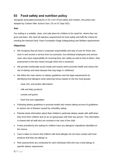## <span id="page-5-0"></span>**03 Food safety and nutrition policy**

Alongside associated procedures in 03.1-03.4 Food safety and nutrition, this policy was adopted by Culham After School Club LTD on 01 Sept 2021.

#### **Aim**

Our setting is a suitable, clean, and safe place for children to be cared for, where they can grow and learn. We meet all statutory requirements for food safety and fulfil the criteria for meeting the relevant Early Years Foundation Stage Safeguarding and Welfare requirements

#### **Objectives**

- We recognise that we have a corporate responsibility and duty of care for those who work in and receive a service from our provision, but individual employees and service users also have responsibility for ensuring their own safety as well as that of others. Risk assessment is the key means through which this is achieved.
- We provide nutritionally sound meals and snacks which promote health and reduce the risk of obesity and heart disease that may begin in childhood.
- We follow the main advice on dietary guidelines and the legal requirements for identifying food allergens when planning menus based on the four food groups:
	- meat, fish, and protein alternatives
	- milk and dairy products
	- cereals and grains
	- fresh fruit and vegetables.
- Following dietary guidelines to promote health also means taking account of guidelines to reduce risk of disease caused by unhealthy eating.
- Parents share information about their children's particular dietary needs with staff when they enrol their children and on an on-going basis with their key person. This information is shared with all staff who are involved in the care of the child.
- Foods provided by the setting for children have any allergenic ingredients identified on the menus.
- Care is taken to ensure that children with food allergies do not have contact with food products that they are allergic to.
- Risk assessments are conducted for each individual child who has a food allergy or specific dietary requirement.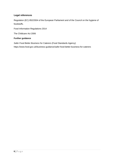#### **Legal references**

Regulation (EC) 852/2004 of the European Parliament and of the Council on the hygiene of foodstuffs.

Food Information Regulations 2014

The Childcare Act 2006

#### **Further guidance**

*Safer Food Better Business* for Caterers (Food Standards Agency) https://www.food.gov.uk/business-guidance/safer-food-better-business-for-caterers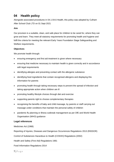## <span id="page-7-0"></span>**04 Health policy**

Alongside associated procedures in 04.1-04.6 Health, this policy was adopted by Culham After School Club LTD on 01 Sept 2021

#### **Aim**

Our provision is a suitable, clean, and safe place for children to be cared for, where they can grow and learn. They meet all statutory requirements for promoting health and hygiene and fulfil the criteria for meeting the relevant Early Years Foundation Stage Safeguarding and Welfare requirements.

#### **Objectives**

We promote health through:

- ensuring emergency and first aid treatment is given where necessary
- ensuring that medicine necessary to maintain health is given correctly and in accordance with legal requirements
- identifying allergies and preventing contact with the allergenic substance
- identifying food ingredients that contain recognised allergens and displaying this information for parents
- promoting health through taking necessary steps to prevent the spread of infection and taking appropriate action when children are ill
- promoting healthy lifestyle choices through diet and exercise
- supporting parents right to choose complementary therapies
- recognising the benefits of baby and child massage, by parents or staff carrying out massage under conditions that maintain the personal safety of children
- pandemic flu planning or illness outbreak management as per DfE and World Health Organisation (WHO) guidance

#### **Legal references**

Medicines Act (1968)

Reporting of Injuries, Diseases and Dangerous Occurrences Regulations 2013 (RIDDOR)

Control of Substances Hazardous to Health (COSHH) Regulations (2002)

Health and Safety (First Aid) Regulations 1981

Food Information Regulations 2014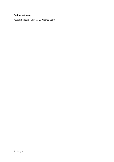#### **Further guidance**

Accident Record (Early Years Alliance 2019)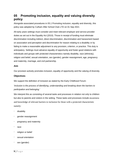## <span id="page-9-0"></span>**05 Promoting inclusion, equality and valuing diversity policy**

Alongside associated procedures in 05.1 Promoting inclusion, equality and diversity, this policy was adopted by Culham After School Club LTD on 01 Sep 2021

All early years settings must consider and meet relevant employer and service provider duties as set out in the Equality Act (2010). Those in receipt of funding must eliminate discrimination including indirect, direct discrimination, discrimination and harassment based on association and perception and discrimination for reason relating to a disability or by failing to make a reasonable adjustment to any provision, criterion, or practice. This duty is anticipatory. Settings must advance equality of opportunity and foster good relations with individuals and groups with protected characteristics namely disability, race (ethnicity), religion and belief, sexual orientation, sex (gender), gender reassignment, age, pregnancy and maternity, marriage, and civil partnership.

#### **Aim**

Our provision actively promotes inclusion, equality of opportunity and the valuing of diversity.

#### **Objectives**

We support the definition of inclusion as stated by the Early Childhood Forum:

'*Inclusion is the process of identifying, understanding and breaking down the barriers to participation and belonging.'*

We interpret this as consisting of several tasks and processes in relation not only to children but also to parents and visitors in the setting. These tasks and processes include awareness and knowledge of relevant barriers to inclusion for those with a protected characteristic namely:

- disability
- gender reassignment
- pregnancy and maternity
- race
- religion or belief
- sexual orientation
- sex (gender)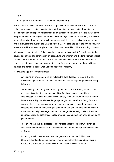- age
- marriage or civil partnership (in relation to employment)

This includes unlawful behaviour towards people with protected characteristics. Unlawful behaviour being direct discrimination, indirect discrimination, associative discrimination, discrimination by perception, harassment, and victimisation (in addition, we are aware of the inequality that users facing socio-economic disadvantaged may also encounter). We will not tolerate behaviour from an adult which demonstrates dislike and prejudice towards groups and individuals living outside the UK (**xenophobia**). This also applies to the same behaviour towards specific groups of people and individuals who are British Citizens residing in the UK.

We promote understanding of discrimination - through training and staff development - the causes and effects of discrimination on both adults and children and the long- term impact of discrimination; the need to protect children from discrimination and ensure that childcare practice is both accessible and inclusive; the need for relevant support to allow children to develop into confident adults with a strong positive self-identity.

- Developing practice that includes:
	- Developing an environment which reflects the 'kaleidoscope' of factors that can provide settings with a myriad of influences and ideas for exploring and celebrating difference.
	- Understanding, supporting and promoting the importance of identity for all children and recognising that this comprises multiple facets which are shaped by a 'kaleidoscope' of factors including British values, 'race'\ethnicity and culture, gender, difference of ability, social class, language, religion and belief, and family form and lifestyle, which combine uniquely in the identity of each individual; for example, we welcome and promote bi/multi-lingualism and the use of alternative communication formats such as sign language, and we promote gender equality while at the same time recognising the differences in play preferences and developmental timetables of girls and boys.
	- Recognising that this 'kaleidoscope' also reflects negative images which may be internalised and negatively affect the development of self-concept, self-esteem, and confidence.
	- Promoting a welcoming atmosphere that genuinely appreciate British values, different cultural and personal perspectives, without stereotyping and prejudicing cultures and traditions on raising children, by always involving parents.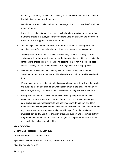- Promoting community cohesion and creating an environment that pre-empts acts of discrimination so that they do not arise.
- Recruitment of staff to reflect cultural and language diversity, disabled staff, and staff of both genders.
- Addressing discrimination as it occurs from children in a sensitive, age-appropriate manner to ensure that everyone involved understands the situation and are offered reassurance and support to achieve resolution.
- Challenging discriminatory behaviour from parents, staff or outside agencies or individuals that affect the well-being of children and the early years community.
- Creating an ethos within which staff work confidently within a culturally complex environment; learning when to change or adapt practice in the setting and having the confidence to challenge practice (including parental) that is not in the child's best interest, seeking support and intervention from agencies where appropriate.
- Ensuring that practitioners work closely with the Special Educational Needs Coordinator to make sure that the additional needs of all children are identified and met.
- We are aware of anti-discriminatory legislation and able to use it to shape the service and support parents and children against discrimination in the local community, for example, against asylum seekers, the Travelling community and same sex parents.
- We regularly monitor and review our practice including long-term preventative measures to ensure equality such as auditing of provision, formulating an equality plan, applying impact measurements and positive actions. In addition, short term measures such as recognition and assessment of children's additional support needs (e.g. impairment, home language, family hardship, specific family beliefs and practices), day-to-day activities, provision of suitable support and resources, activity programme and curriculum., assessment, recognition of special educational needs and developing inclusive relationships.

#### **Legal references**

General Data Protection Regulation 2018

Children and Families Act 2014 Part 3

Special Educational Needs and Disability Code of Practice 2014

Disability Equality Duty 2011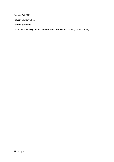Equality Act 2010

Prevent Strategy 2015

#### **Further guidance**

Guide to the Equality Act and Good Practice (Pre-school Learning Alliance 2015)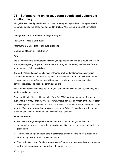## <span id="page-13-0"></span>**06 Safeguarding children, young people and vulnerable adults policy**

Alongside associated procedures in 06.1-06.10 Safeguarding children, young people and vulnerable adults, this policy was adopted by Culham After School Club LTD on 01 Sept 2021

#### **Designated person/lead for safeguarding is:**

PreSchool – Mira Blumhagen

After School Club – Bee Rodriguez-Bachiller

#### **Designed officer is:** Ruth Mullen

#### **Aim**

We are committed to safeguarding children, young people and vulnerable adults and will do this by putting young people and vulnerable adult's right to be '*strong, resilient and listened to* 'at the heart of all our activities.

The Early Years Alliance 'three key commitments' are broad statements against which policies and procedures across the organisation will be drawn to provide a consistent and coherent strategy for safeguarding children young people and vulnerable adults in all services provided. The three key commitments are:

NB: A 'young person' is defined as 16–19-year-old. In an early years setting, they may be a student, worker, or parent.

A 'vulnerable adult' (see guidance to the Care Act 2014) as: *'a person aged 18 years or over, who is in receipt of or may need community care services by reason of 'mental or other disability, age or illness and who is or may be unable to take care of him or herself, or unable to protect him or herself against significant harm or exploitation'*. In early years, this person may be a service user, parent of a service user, or a volunteer.

#### **Key Commitment 1**

- We have a 'designated person', sometimes known as the designated lead for safeguarding, who is responsible for carrying out child, young person, or adult protection procedures.
- There designated person reports to a 'designated officer' responsible for overseeing all child, young person or adult protection matters.
- The 'designated person' and the 'designated officer' ensure they have links with statutory and voluntary organisations regarding safeguarding children.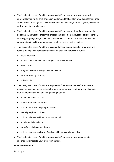- The 'designated person' and the 'designated officer' ensure they have received appropriate training on child protection matters and that all staff are adequately informed and/or trained to recognise possible child abuse in the categories of physical, emotional and sexual abuse and neglect.
- The 'designated person' and the 'designated officer' ensure all staff are aware of the additional vulnerabilities that affect children that arise from inequalities of race, gender, disability, language, religion, sexual orientation or culture and that these receive full consideration in child, young person or adult protection related matters.
- The 'designated person' and the 'designated officer' ensure that staff are aware and receive training in social factors affecting children's vulnerability including
	- social exclusion
	- domestic violence and controlling or coercive behaviour
	- mental Illness
	- drug and alcohol abuse (substance misuse)
	- parental learning disability
	- radicalisation
- The 'designated person' and the 'designated officer' ensure that staff are aware and receive training in other ways that children may suffer significant harm and stay up to date with relevant contextual safeguarding matters:
	- abuse of disabled children
	- fabricated or induced illness
	- child abuse linked to spirit possession
	- sexually exploited children
	- children who are trafficked and/or exploited
	- female genital mutilation
	- extra-familial abuse and threats
	- children involved in violent offending, with gangs and county lines.
- The 'designated person' and the 'designated officer' ensure they are adequately informed in vulnerable adult protection matters.

#### **Key Commitment 2**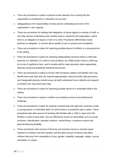- There are procedures in place to prevent known abusers from coming into the organisation as employees or volunteers at any level.
- Safeguarding is the responsibility of every person undertaking the work of the organisation in any capacity.
- There are procedures for dealing with allegations of abuse against a member of staff, or any other person undertaking work whether paid or unpaid for the organisation, where there is an allegation of abuse or harm of a child. Procedures differentiate clearly between an allegation, a concern about quality of care or practice and complaints.
- There are procedures in place for reporting possible abuse of children or a young person in the setting.
- There are procedures in place for reporting safeguarding concerns where a child may meet the s17 definition of a child in need (Children Act 1989) and/or where a child may be at risk of significant harm, and to enable staff to make decisions about appropriate referrals using local published threshold documents.
- There are procedures in place to ensure staff recognise children and families who may benefit from early help and can respond appropriately using local early help processes and Designated persons should ensure all staff understand how to identify and respond to families who may need early help.
- There are procedures in place for reporting possible abuse of a vulnerable adult in the setting.
- There are procedures in place in relation to escalating concerns and professional challenge.
- There are procedures in place for working in partnership with agencies involving a child, or young person or vulnerable adult, for whom there is a protection plan in place. These procedures also take account of working with families with a 'child in need' and with families in need of early help, who are affected by issues of vulnerability such as social exclusion, radicalisation, domestic violence, mental illness, substance misuse and parental learning disability.
- These procedures take account of diversity and inclusion issues to promote equal treatment of children and their families and that take account of factors that affect children that arise from inequalities of race, gender, disability, language, religion, sexual orientation, or culture.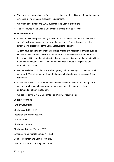- There are procedures in place for record keeping, confidentiality and information sharing, which are in line with data protection requirements.
- We follow government and LSCB guidance in relation to extremism.
- The procedures of the Local Safeguarding Partners must be followed.

#### **Key Commitment 3**

- All staff receive adequate training in child protection matters and have access to the setting's policy and procedures for reporting concerns of possible abuse and the safeguarding procedures of the Local Safeguarding Partners.
- All staff have adequate information on issues affecting vulnerability in families such as social exclusion, domestic violence, mental illness, substance misuse and parental learning disability, together with training that takes account of factors that affect children that arise from inequalities of race, gender, disability, language, religion, sexual orientation, or culture.
- We use available curriculum materials for young children, taking account of information in the Early Years Foundation Stage, that enable children to be *strong, resilient,* and *listened to.*
- All services seek to build the emotional and social skills of children and young people who are service users in an age-appropriate way, including increasing their understanding of how to stay safe.
- We adhere to the EYFS Safeguarding and Welfare requirements.

#### **Legal references**

*Primary legislation* Children Act 1989 – s 47 Protection of Children Act 1999 Care Act 2014 Children Act 2004 s11 Children and Social Work Act 2017 Safeguarding Vulnerable Groups Act 2006 Counter-Terrorism and Security Act 2015 General Data Protection Regulation 2018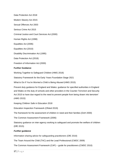Data Protection Act 2018 Modern Slavery Act 2015 Sexual Offences Act 2003 Serious Crime Act 2015 Criminal Justice and Court Services Act (2000) Human Rights Act (1998) Equalities Act (2006) Equalities Act (2010) Disability Discrimination Act (1995) Data Protection Act (2018) Freedom of Information Act (2000)

#### **Further Guidance**

Working Together to Safeguard Children (HMG 2018)

Statutory Framework for the Early Years Foundation Stage 2021

What to Do if You're Worried a Child is Being Abused (HMG 2015)

Prevent duty guidance for England and Wales: guidance for specified authorities in England and Wales on the duty of schools and other providers in the Counter-Terrorism and Security Act 2015 to have due regard to the need to prevent people from being drawn into terrorism' (HMG 2015)

Keeping Children Safe in Education 2018

Education Inspection Framework (Ofsted 2019)

The framework for the assessment of children in need and their families (DoH 2000)

The Common Assessment Framework (2006)

Statutory guidance on inter-agency working to safeguard and promote the welfare of children (DfE 2015)

#### *Further guidance*

Information sharing advice for safeguarding practitioners (DfE 2018)

The Team Around the Child (TAC) and the Lead Professional (CWDC 2009)

The Common Assessment Framework (CAF) – guide for practitioners (CWDC 2010)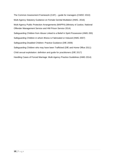The Common Assessment Framework (CAF) – guide for managers (CWDC 2010) Multi-Agency Statutory Guidance on Female Genital Mutilation (HMG. 2016) Multi-Agency Public Protection Arrangements (MAPPA) (Ministry of Justice, National Offender Management Service and HM Prison Service 2014) Safeguarding Children from Abuse Linked to a Belief in Spirit Possession (HMG 200) Safeguarding Children in whom Illness is Fabricated or Induced (HMG 2007) Safeguarding Disabled Children: Practice Guidance (DfE 2009) Safeguarding Children who may have been Trafficked (DfE and Home Office 2011) Child sexual exploitation: definition and guide for practitioners (DfE 2017) Handling Cases of Forced Marriage: Multi-Agency Practice Guidelines (HMG 2014)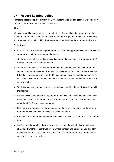## <span id="page-19-0"></span>**07 Record keeping policy**

Alongside associated procedures in 07.1-07.4 Record keeping, this policy was adopted by Culham After School Club LTD on 01 Sept 2021

#### **Aim**

We have record keeping systems in place for the safe and efficient management of the setting and to meet the needs of the children; that meet legal requirements for the storing and sharing of information within the framework of the GDPR and the Human Rights Act.

#### **Objectives**

- Children's records are kept in personal files, divided into appropriate sections, and stored separately from their developmental records.
- Children's personal files contain registration information as specified in procedure 07.1 Children's records and data protection.
- Children's personal files contain other material described as confidential as required, such as Common Assessment Framework assessments, Early Support information or Education, Health and Care Plan (EHCP, case notes including recording of concerns, discussions with parents, and action taken, copies of correspondence and reports from other agencies.
- Ethnicity data is only recorded where parents have identified the ethnicity of their child themselves.
- Confidentiality is maintained by secure storage of files in a locked cabinet with access restricted to those who need to know. Client access to records is provided for within procedure 07.4 Client access to records.
- Staff know how and when to share information effectively if they believe a family may require a particular service to achieve positive outcomes
- Staff know how to share information if they believe a child is in need or at risk of suffering harm.
- Staff record when and to whom information has been shared, why information was shared and whether consent was given. Where consent has not been given and staff have taken the decision, in line with guidelines, to override the refusal for consent, the decision to do so is recorded.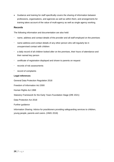• Guidance and training for staff specifically covers the sharing of information between professions, organisations, and agencies as well as within them, and arrangements for training takes account of the value of multi-agency as well as single agency working.

#### **Records**

The following information and documentation are also held:

- name, address and contact details of the provider and all staff employed on the premises
- name address and contact details of any other person who will regularly be in unsupervised contact with children
- a daily record of all children looked after on the premises, their hours of attendance and their named key person
- certificate of registration displayed and shown to parents on request
- records of risk assessments
- record of complaints

#### **Legal references**

General Data Protection Regulation 2018

Freedom of Information Act 2000

Human Rights Act 1998

Statutory Framework for the Early Years Foundation Stage (DfE 2021)

Data Protection Act 2018

Further guidance

Information Sharing: Advice for practitioners providing safeguarding services to children, young people, parents and carers. (HMG 2018)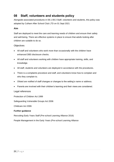## <span id="page-21-0"></span>**08 Staff, volunteers and students policy**

Alongside associated procedures in 08.1-08.3 Staff, volunteers and students, this policy was adopted by Culham After School Club LTD on 01 Sept 2021

#### **Aim**

Staff are deployed to meet the care and learning needs of children and ensure their safety and well-being. There are effective systems in place to ensure that adults looking after children are suitable to do so.

#### **Objectives**

- All staff and volunteers who work more than occasionally with the children have enhanced DBS disclosure checks.
- All staff and volunteers working with children have appropriate training, skills, and knowledge.
- All staff, students and volunteers are deployed in accordance with the procedures.
- There is a complaints procedure and staff, and volunteers know how to complain and who they complain to.
- Ofsted are notified of staff changes or changes to the setting's name or address.
- Parents are involved with their children's learning and their views are considered.

#### Legal references

Protection of Children Act 1999

Safeguarding Vulnerable Groups Act 2006

Childcare Act 2006

#### **Further guidance**

Recruiting Early Years Staff (Pre-school Learning Alliance 2016)

People Management in the Early Years (Pre-school Learning Alliance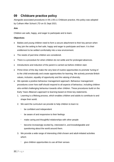## <span id="page-22-0"></span>**09 Childcare practice policy**

Alongside associated procedures in 09.1-09.11 Childcare practice, this policy was adopted by Culham After School LTD on 01 Sept 2021.

#### **Aim**

Children are safe, happy, and eager to participate and to learn.

#### **Objectives**

- Babies and young children need to form a secure attachment to their key person when they join the setting to feel safe, happy and eager to participate and learn. It is their *entitlement* to be settled comfortably into a new environment.
- The needs of part-time children are considered.
- There is a procedure for when children do not settle and for prolonged absences.
- Introductions and induction of the parent is carried out before children start.
- *Prime times* of the day make the very best of routine opportunities to promote 'tuning-in' to the child emotionally and create opportunities for learning. We actively promote British values, inclusion, equality of opportunity and the valuing of diversity.
- We operate a positive behaviour management approach. Behaviour management procedures cover how staff should respond to all aspects of behaviour, including children who exhibit challenging behaviour towards other children. These procedures build on the Early Years Alliance's approach to learning based on three key statements.
	- 1. Learning is a lifelong process, which enables children and adults to contribute to and shape their world.
	- 2. We want the curriculum we provide to help children to learn to:
		- be confident and independent
		- be aware of and responsive to their feelings
		- make caring and thoughtful relationships with other people
		- become increasingly excited by, interested in, and knowledgeable and questioning about the world around them.
	- 3. We provide a wide range of interesting child-chosen and adult-initiated activities which:
		- give children opportunities to use all their senses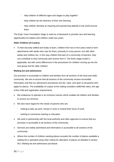- help children of different ages and stages to play together
- help children be the directors of their own learning
- help children develop an inquiring and questioning attitude to the world around them

The *Early Years Foundation Stage* is used as a framework to provide care and learning opportunities for babies and children under two years.

#### **Older Children (2-5 years)**

• To feel securely settled and ready to learn, children from two to five years need to form attachments with adults who care for them, primarily to a key person, but with other adults and children too. In this way children feel part of a community of learners; they can contribute to that community and receive from it. The three-stage model is applicable, but with some differences in the procedures for children moving up into the next group and for older children.

#### **Waiting list and admissions**

Our provision is accessible to children and families from all sections of the local and wider community. We aim to ensure that all sections of the community receive accessible information and that our admissions procedures are fair, clear, and open to all parents who apply for places. The availability of a place at the setting considers staff/child ratios, the age of the child and registration requirements.

- We endeavour to operate in an inclusive manner which enables all children and families to access our services.
- We also have regard for the needs of parents who are:
	- looking to take up work, remain in work or extend their hours of work
	- looking to commence training or education
- We work in partnership with the local authority and other agencies to ensure that our provision is accessible to all sections of the community.
- Services are widely advertised and information is accessible to all sections of the community.
- Where the number of children wanting places exceeds the number of places available a waiting list is operated using clear criteria for allocation of places as detailed in section 09.1 Waiting list and admissions procedure.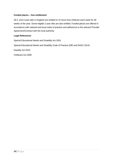#### **Funded places – free entitlement**

All 3- and 4-year-olds in England are entitled to 15 hours free childcare each week for 38 weeks of the year. Some eligible 2 year olds are also entitled. Funded places are offered in accordance with national and local codes of practice and adherence to the relevant Provider Agreement/Contract with the local authority.

#### **Legal References**

Special Educational Needs and Disability Act 2001

Special Educational Needs and Disability Code of Practice (DfE and DHSC 2014)

Equality Act 2010

Childcare Act 2006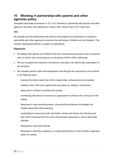## <span id="page-25-0"></span>**10 Working in partnership with parents and other agencies policy**

Alongside associated procedures in 10.1-10.2 Working in partnership with parents and other agencies, this policy was adopted by Culham After School Club on 01<sup>st</sup> Sept 2021

#### **Aim**

We actively promote partnership with parents and recognise the importance of working in partnership with other agencies to promote the well-being of children and their families. This includes signposting parents to support as appropriate.

#### **Objectives**

- We believe that parents are children's first and most enduring educators and our practice aims to involve and consult parents on all aspects of their child's well-being.
- We also recognise the important role parents must play in the day-to-day organisation of the provision.
- We consider parents views and expectations and will give the opportunity to be involved in the following ways:
	- sharing information about their child's needs, likes, achievements and interests
	- settling in their child to the agreed plan according our settling in procedures
	- taking part in children's activities and outings
	- contributing with ideas or resources as appropriate to enhance the curriculum of the setting
	- taking part in early learning projects, sharing with practitioners knowledge and insights about their child's learning
	- contributing to assessment with information, photos and stories that illustrate how their child is learning within the home environment, taking part in day-to-day family activities
	- taking part in discussion groups
	- taking part in planning, preparing, or simply participating in social activities organised within the setting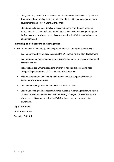- taking part in a parent forum to encourage the democratic participation of parents in discussions about the day-to-day organisation of the setting, consulting about new developments and other matters as they arise
- Ofsted and setting contact details are displayed on the parent notice board for parents who have a complaint that cannot be resolved with the setting manager in the first instance, or where a parent is concerned that the EYFS standards are not being maintained

#### **Partnership and signposting to other agencies**

- We are committed to ensuring effective partnership with other agencies including:
	- local authority early years services about the EYFS, training and staff development
	- local programmes regarding delivering children's centres or the childcare element of children's centres
	- social welfare departments regarding children in need and children who need safeguarding or for whom a child protection plan is in place
	- child development networks and health professionals to support children with disabilities and special needs
	- local community organisations and other childcare providers
	- Ofsted and setting contact details are made available to other agencies who have a complaint that cannot be resolved with the Setting Manager in the first instance, or where a parent is concerned that the EYFS welfare standards are not being maintained.

#### **Legal references**

Childcare Act 2006

Education Act 2011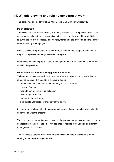## <span id="page-27-0"></span>**11. Whistle-blowing and raising concerns at work**

This policy was adopted by Culham After School Club LTD on 01 Sept 2021

#### **Policy statement**

The official name for whistle-blowing is 'making a disclosure in the public interest'. If staff or volunteers believe there is malpractice in the preschool, they should report this by following the correct processes. Their employment rights are protected and they cannot be victimised by the employer.

Whistle-blowers are protected for public interest, to encourage people to speak out if they find malpractice in an organisation or workplace.

Malpractice could be improper, illegal or negligent behaviour by anyone who works with or within the preschool.

#### **When should the whistle-blowing procedure be used?**

To be protected as a whistle-blower, a worker needs to make a 'qualifying disclosure' about malpractice. This could be a disclosure about:

- threats/risks to the welfare, health or safety of a child or adult
- criminal offences
- failure to comply with a legal obligation
- miscarriages of justice
- damage to the environment
- a deliberate attempt to cover up any of the above

It is the responsibility of all staff to report any improper, illegal or negligent behaviour in or connected with the preschool.

This procedure is appropriate where a worker has genuine concerns about activities in or connected with the preschool. It is not designed to replace or be used as an alternative to the grievance procedure.

The preschool's Safeguarding Policy must be followed where a disclosure is made relating to the safeguarding of a child.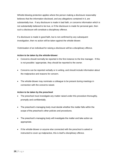Whistle-blowing protection applies where the person making a disclosure reasonably believes that the information disclosed, and any allegations contained in it, are substantially true. If any disclosure is made in bad faith, or concerns information which is not substantially believed to be true, or if the disclosure is made for personal gain, then such a disclosure will constitute a disciplinary offence.

If a disclosure is made in good faith, but is not confirmed by any subsequent investigation, then no action will be taken against the whistle-blower.

Victimisation of an individual for raising a disclosure will be a disciplinary offence.

#### **Action to be taken by the whistle-blower**:

- Concerns should normally be reported in the first instance to the line manager. If this is not possible / appropriate, they should be reported to the owner.
- Concerns can be reported verbally or in writing, and should include information about the malpractice and reasons for concern.
- The whistle-blower may nominate a colleague to be present during meetings in connection with the concerns raised.

#### **Action to be taken by the preschool**

- The preschool must investigate any matter raised under this procedure thoroughly, promptly and confidentially.
- The preschool's managing body must decide whether the matter falls within the scope of the preschool's other policies and procedures.
- The preschool's managing body will investigate the matter and take action as appropriate.
- If the whistle-blower or anyone else connected with the preschool is asked or instructed to cover up malpractice, this is itself a disciplinary offence.